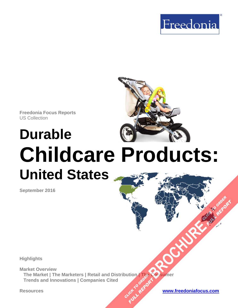

**Freedonia Focus Reports** US Collection

# **Durable Childcare Products: United States**

**September 2016**

**Highlights**

**Market Overview** The Market | The Marketers | Retail and Distribution | The Consumer<br>Trends and Innovations | Companies Cited<br>**Example 2021 The Consumer Participal Accounts in the Consumer**<br>  $\frac{dV}{dr} = \frac{dV}{dr}$ **Trends and Innovations | Companies Cited BROWNER CLICK TO ORDER FULL REPORT** 

**Resources [www.freedoniafocus.com](http://www.freedoniagroup.com/FocusReports.aspx?ReferrerId=FM-FocusBro)**

**FULL REPORT**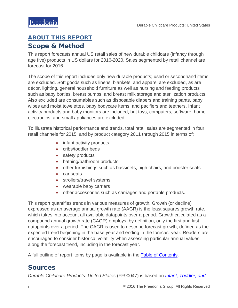# <span id="page-1-0"></span>ABOUT THIS REPORT

### Scope & Method

This report forecasts annual US retail sales of new durable childcare (infancy through age five) products in US dollars for 2016-2020. Sales segmented by retail channel are forecast for 2016.

The scope of this report includes only new durable products; used or secondhand items are excluded. Soft goods such as linens, blankets, and apparel are excluded, as are décor, lighting, general household furniture as well as nursing and feeding products such as baby bottles, breast pumps, and breast milk storage and sterilization products. Also excluded are consumables such as disposable diapers and training pants, baby wipes and moist towelettes, baby bodycare items, and pacifiers and teethers. Infant activity products and baby monitors are included, but toys, computers, software, home electronics, and small appliances are excluded.

To illustrate historical performance and trends, total retail sales are segmented in four retail channels for 2015, and by product category 2011 through 2015 in terms of:

- infant activity products
- cribs/toddler beds
- safety products
- bathing/bathroom products
- other furnishings such as bassinets, high chairs, and booster seats
- car seats
- strollers/travel systems
- wearable baby carriers
- other accessories such as carriages and portable products.

This report quantifies trends in various measures of growth. Growth (or decline) expressed as an average annual growth rate (AAGR) is the least squares growth rate, which takes into account all available datapoints over a period. Growth calculated as a compound annual growth rate (CAGR) employs, by definition, only the first and last datapoints over a period. The CAGR is used to describe forecast growth, defined as the expected trend beginning in the base year and ending in the forecast year. Readers are encouraged to consider historical volatility when assessing particular annual values along the forecast trend, including in the forecast year.

A full outline of report items by page is available in the [Table of Contents.](#page-3-0)

## Sources

*Durable Childcare Products: United States* (FF90047) is based on *[Infant, Toddler, and](http://www.packagedfacts.com/Infant-Toddler-Preschool-10330889/)*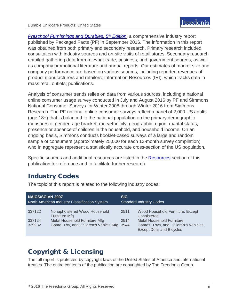*Preschool Furnishings and Durables, 5<sup>th</sup> Edition*, a comprehensive industry report published by Packaged Facts (PF) in September 2016. The information in this report was obtained from both primary and secondary research. Primary research included consultation with industry sources and on-site visits of retail stores. Secondary research entailed gathering data from relevant trade, business, and government sources, as well as company promotional literature and annual reports. Our estimates of market size and company performance are based on various sources, including reported revenues of product manufacturers and retailers; Information Resources (IRI), which tracks data in mass retail outlets; publications.

Analysis of consumer trends relies on data from various sources, including a national online consumer usage survey conducted in July and August 2016 by PF and Simmons National Consumer Surveys for Winter 2008 through Winter 2016 from Simmons Research. The PF national online consumer surveys reflect a panel of 2,000 US adults (age 18+) that is balanced to the national population on the primary demographic measures of gender, age bracket, race/ethnicity, geographic region, marital status, presence or absence of children in the household, and household income. On an ongoing basis, Simmons conducts booklet-based surveys of a large and random sample of consumers (approximately 25,000 for each 12-month survey compilation) who in aggregate represent a statistically accurate cross-section of the US population.

Specific sources and additional resources are listed in the **Resources** section of this publication for reference and to facilitate further research.

## Industry Codes

| <b>NAICS/SCIAN 2007</b>                       |                                                                                                                                      | <b>SIC</b>                     |                                                                                                                                                                         |
|-----------------------------------------------|--------------------------------------------------------------------------------------------------------------------------------------|--------------------------------|-------------------------------------------------------------------------------------------------------------------------------------------------------------------------|
| North American Industry Classification System |                                                                                                                                      | <b>Standard Industry Codes</b> |                                                                                                                                                                         |
| 337122<br>337124<br>339932                    | Nonupholstered Wood Household<br><b>Furniture Mfg</b><br>Metal Household Furniture Mfg<br>Game, Toy, and Children's Vehicle Mfg 3944 | 2511<br>2514                   | Wood Household Furniture, Except<br><b>Upholstered</b><br><b>Metal Household Furniture</b><br>Games, Toys, and Children's Vehicles,<br><b>Except Dolls and Bicycles</b> |

The topic of this report is related to the following industry codes:

## Copyright & Licensing

The full report is protected by copyright laws of the United States of America and international treaties. The entire contents of the publication are copyrighted by The Freedonia Group.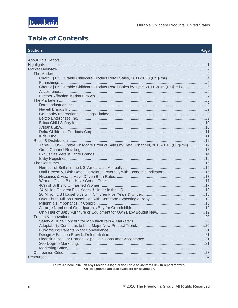## <span id="page-3-0"></span>**Table of Contents**

#### **Section**

#### Page

| Chart 1   US Durable Childcare Product Retail Sales, 2011-2020 (US\$ mil) 4              |  |
|------------------------------------------------------------------------------------------|--|
|                                                                                          |  |
| Chart 2   US Durable Childcare Product Retail Sales by Type, 2011-2015 (US\$ mil) 6      |  |
|                                                                                          |  |
|                                                                                          |  |
|                                                                                          |  |
|                                                                                          |  |
|                                                                                          |  |
|                                                                                          |  |
|                                                                                          |  |
|                                                                                          |  |
|                                                                                          |  |
|                                                                                          |  |
|                                                                                          |  |
|                                                                                          |  |
| Table 1   US Durable Childcare Product Sales by Retail Channel, 2015-2016 (US\$ mil)  12 |  |
|                                                                                          |  |
|                                                                                          |  |
|                                                                                          |  |
|                                                                                          |  |
|                                                                                          |  |
|                                                                                          |  |
|                                                                                          |  |
|                                                                                          |  |
|                                                                                          |  |
|                                                                                          |  |
|                                                                                          |  |
|                                                                                          |  |
|                                                                                          |  |
|                                                                                          |  |
|                                                                                          |  |
|                                                                                          |  |
|                                                                                          |  |
|                                                                                          |  |
|                                                                                          |  |
|                                                                                          |  |
|                                                                                          |  |
|                                                                                          |  |
|                                                                                          |  |
|                                                                                          |  |
|                                                                                          |  |

To return here, click on any Freedonia logo or the Table of Contents link in report footers.<br>PDF bookmarks are also available for navigation.